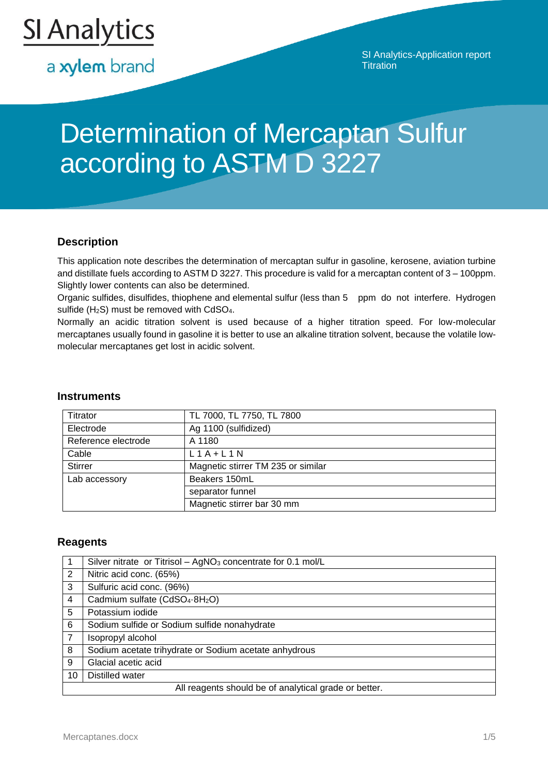

a xylem brand

SI Analytics-Application report **Titration** 

# Determination of Mercaptan Sulfur according to ASTM D 3227

# **Description**

This application note describes the determination of mercaptan sulfur in gasoline, kerosene, aviation turbine and distillate fuels according to ASTM D 3227. This procedure is valid for a mercaptan content of 3 – 100ppm. Slightly lower contents can also be determined.

Organic sulfides, disulfides, thiophene and elemental sulfur (less than 5 ppm do not interfere. Hydrogen sulfide (H<sub>2</sub>S) must be removed with CdSO<sub>4</sub>.

Normally an acidic titration solvent is used because of a higher titration speed. For low-molecular mercaptanes usually found in gasoline it is better to use an alkaline titration solvent, because the volatile lowmolecular mercaptanes get lost in acidic solvent.

#### **Instruments**

| Titrator            | TL 7000, TL 7750, TL 7800          |  |
|---------------------|------------------------------------|--|
| Electrode           | Ag 1100 (sulfidized)               |  |
| Reference electrode | A 1180                             |  |
| Cable               | $L1A+L1N$                          |  |
| <b>Stirrer</b>      | Magnetic stirrer TM 235 or similar |  |
| Lab accessory       | Beakers 150mL                      |  |
|                     | separator funnel                   |  |
|                     | Magnetic stirrer bar 30 mm         |  |

## **Reagents**

|                | Silver nitrate or Titrisol - AgNO <sub>3</sub> concentrate for 0.1 mol/L |  |  |  |
|----------------|--------------------------------------------------------------------------|--|--|--|
| 2              | Nitric acid conc. (65%)                                                  |  |  |  |
| 3              | Sulfuric acid conc. (96%)                                                |  |  |  |
| 4              | Cadmium sulfate (CdSO <sub>4</sub> .8H <sub>2</sub> O)                   |  |  |  |
| 5              | Potassium iodide                                                         |  |  |  |
| 6              | Sodium sulfide or Sodium sulfide nonahydrate                             |  |  |  |
| $\overline{7}$ | Isopropyl alcohol                                                        |  |  |  |
| 8              | Sodium acetate trihydrate or Sodium acetate anhydrous                    |  |  |  |
| 9              | Glacial acetic acid                                                      |  |  |  |
| 10             | Distilled water                                                          |  |  |  |
|                | All reagents should be of analytical grade or better.                    |  |  |  |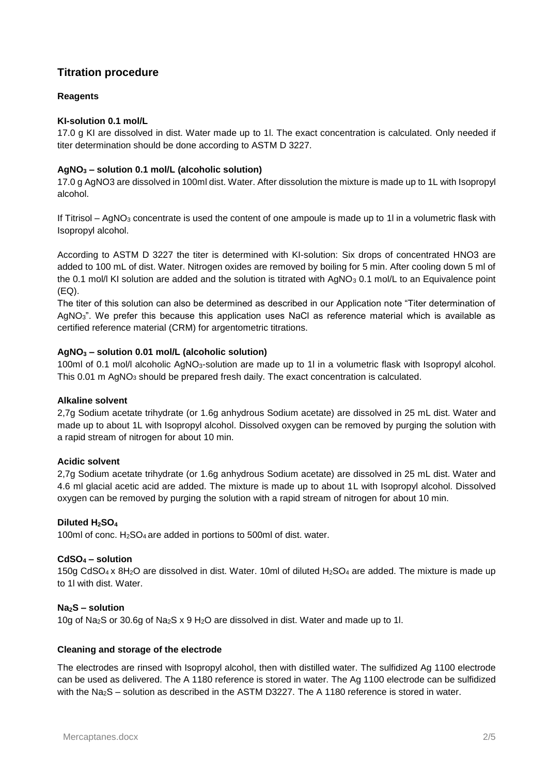# **Titration procedure**

#### **Reagents**

#### **KI-solution 0.1 mol/L**

17.0 g KI are dissolved in dist. Water made up to 1l. The exact concentration is calculated. Only needed if titer determination should be done according to ASTM D 3227.

#### **AgNO<sup>3</sup> – solution 0.1 mol/L (alcoholic solution)**

17.0 g AgNO3 are dissolved in 100ml dist. Water. After dissolution the mixture is made up to 1L with Isopropyl alcohol.

If Titrisol – AgNO<sub>3</sub> concentrate is used the content of one ampoule is made up to 1l in a volumetric flask with Isopropyl alcohol.

According to ASTM D 3227 the titer is determined with KI-solution: Six drops of concentrated HNO3 are added to 100 mL of dist. Water. Nitrogen oxides are removed by boiling for 5 min. After cooling down 5 ml of the 0.1 mol/l KI solution are added and the solution is titrated with AgNO<sub>3</sub> 0.1 mol/L to an Equivalence point (EQ).

The titer of this solution can also be determined as described in our Application note "Titer determination of AgNO<sub>3</sub>". We prefer this because this application uses NaCl as reference material which is available as certified reference material (CRM) for argentometric titrations.

#### **AgNO<sup>3</sup> – solution 0.01 mol/L (alcoholic solution)**

100ml of 0.1 mol/l alcoholic AgNO<sub>3</sub>-solution are made up to 1l in a volumetric flask with Isopropyl alcohol. This 0.01 m AgNO<sub>3</sub> should be prepared fresh daily. The exact concentration is calculated.

#### **Alkaline solvent**

2,7g Sodium acetate trihydrate (or 1.6g anhydrous Sodium acetate) are dissolved in 25 mL dist. Water and made up to about 1L with Isopropyl alcohol. Dissolved oxygen can be removed by purging the solution with a rapid stream of nitrogen for about 10 min.

#### **Acidic solvent**

2,7g Sodium acetate trihydrate (or 1.6g anhydrous Sodium acetate) are dissolved in 25 mL dist. Water and 4.6 ml glacial acetic acid are added. The mixture is made up to about 1L with Isopropyl alcohol. Dissolved oxygen can be removed by purging the solution with a rapid stream of nitrogen for about 10 min.

## **Diluted H2SO<sup>4</sup>**

100ml of conc. H2SO<sup>4</sup> are added in portions to 500ml of dist. water.

#### **CdSO<sup>4</sup> – solution**

150g CdSO<sup>4</sup> x 8H2O are dissolved in dist. Water. 10ml of diluted H2SO<sup>4</sup> are added. The mixture is made up to 1l with dist. Water.

#### **Na2S – solution**

10g of Na2S or 30.6g of Na2S x 9 H2O are dissolved in dist. Water and made up to 1l.

#### **Cleaning and storage of the electrode**

The electrodes are rinsed with Isopropyl alcohol, then with distilled water. The sulfidized Ag 1100 electrode can be used as delivered. The A 1180 reference is stored in water. The Ag 1100 electrode can be sulfidized with the Na<sub>2</sub>S – solution as described in the ASTM D3227. The A 1180 reference is stored in water.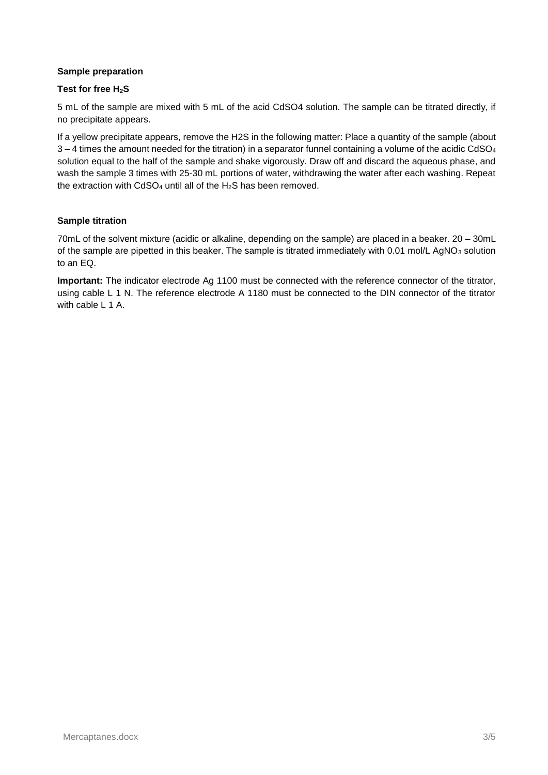#### **Sample preparation**

#### **Test for free H2S**

5 mL of the sample are mixed with 5 mL of the acid CdSO4 solution. The sample can be titrated directly, if no precipitate appears.

If a yellow precipitate appears, remove the H2S in the following matter: Place a quantity of the sample (about  $3 - 4$  times the amount needed for the titration) in a separator funnel containing a volume of the acidic CdSO<sub>4</sub> solution equal to the half of the sample and shake vigorously. Draw off and discard the aqueous phase, and wash the sample 3 times with 25-30 mL portions of water, withdrawing the water after each washing. Repeat the extraction with  $CdSO<sub>4</sub>$  until all of the H<sub>2</sub>S has been removed.

#### **Sample titration**

70mL of the solvent mixture (acidic or alkaline, depending on the sample) are placed in a beaker. 20 – 30mL of the sample are pipetted in this beaker. The sample is titrated immediately with 0.01 mol/L AgNO<sub>3</sub> solution to an EQ.

**Important:** The indicator electrode Ag 1100 must be connected with the reference connector of the titrator, using cable L 1 N. The reference electrode A 1180 must be connected to the DIN connector of the titrator with cable L 1 A.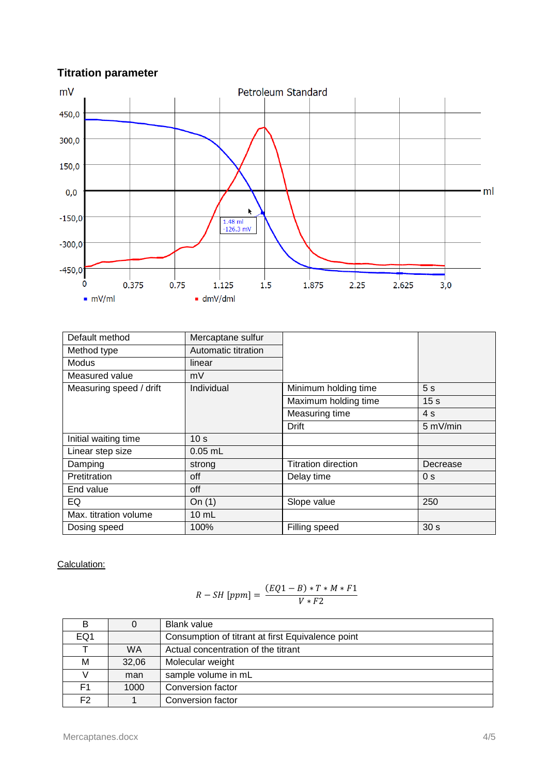# **Titration parameter**



| Default method          | Mercaptane sulfur   |                            |                 |
|-------------------------|---------------------|----------------------------|-----------------|
| Method type             | Automatic titration |                            |                 |
| Modus                   | linear              |                            |                 |
| Measured value          | mV                  |                            |                 |
| Measuring speed / drift | Individual          | Minimum holding time       | 5s              |
|                         |                     | Maximum holding time       | 15 <sub>s</sub> |
|                         |                     | Measuring time             | 4s              |
|                         |                     | Drift                      | 5 mV/min        |
| Initial waiting time    | 10 <sub>s</sub>     |                            |                 |
| Linear step size        | $0.05$ mL           |                            |                 |
| Damping                 | strong              | <b>Titration direction</b> | Decrease        |
| Pretitration            | off                 | Delay time                 | 0 <sub>s</sub>  |
| End value               | off                 |                            |                 |
| EQ                      | On $(1)$            | Slope value                | 250             |
| Max. titration volume   | $10 \text{ mL}$     |                            |                 |
| Dosing speed            | 100%                | Filling speed              | 30 <sub>s</sub> |

Calculation:

$$
R-SH[ppm] = \frac{(EQ1-B)*T*M*F1}{V*F2}
$$

| в               | 0         | <b>Blank value</b>                                |
|-----------------|-----------|---------------------------------------------------|
| EQ <sub>1</sub> |           | Consumption of titrant at first Equivalence point |
|                 | <b>WA</b> | Actual concentration of the titrant               |
| М               | 32,06     | Molecular weight                                  |
|                 | man       | sample volume in mL                               |
| F1              | 1000      | Conversion factor                                 |
| F <sub>2</sub>  |           | Conversion factor                                 |